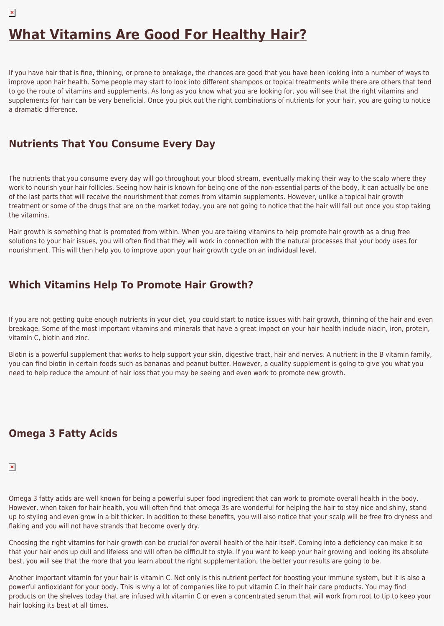# **[What Vitamins Are Good For Healthy Hair?](https://healthpundits.com/what-vitamins-are-good-for-healthy-hair/)**

If you have hair that is fine, thinning, or prone to breakage, the chances are good that you have been looking into a number of ways to improve upon hair health. Some people may start to look into different shampoos or topical treatments while there are others that tend to go the route of vitamins and supplements. As long as you know what you are looking for, you will see that the right vitamins and supplements for hair can be very beneficial. Once you pick out the right combinations of nutrients for your hair, you are going to notice a dramatic difference.

### **Nutrients That You Consume Every Day**

The nutrients that you consume every day will go throughout your blood stream, eventually making their way to the scalp where they work to nourish your hair follicles. Seeing how hair is known for being one of the non-essential parts of the body, it can actually be one of the last parts that will receive the nourishment that comes from vitamin supplements. However, unlike a topical hair growth treatment or some of the drugs that are on the market today, you are not going to notice that the hair will fall out once you stop taking the vitamins.

Hair growth is something that is promoted from within. When you are taking vitamins to help promote hair growth as a drug free solutions to your hair issues, you will often find that they will work in connection with the natural processes that your body uses for nourishment. This will then help you to improve upon your hair growth cycle on an individual level.

# **Which Vitamins Help To Promote Hair Growth?**

If you are not getting quite enough nutrients in your diet, you could start to notice issues with hair growth, thinning of the hair and even breakage. Some of the most important vitamins and minerals that have a great impact on your hair health include niacin, iron, protein, vitamin C, biotin and zinc.

Biotin is a powerful supplement that works to help support your skin, digestive tract, hair and nerves. A nutrient in the B vitamin family, you can find biotin in certain foods such as bananas and peanut butter. However, a quality supplement is going to give you what you need to help reduce the amount of hair loss that you may be seeing and even work to promote new growth.

# **Omega 3 Fatty Acids**

#### $\pmb{\times}$

Omega 3 fatty acids are well known for being a powerful super food ingredient that can work to promote overall health in the body. However, when taken for hair health, you will often find that omega 3s are wonderful for helping the hair to stay nice and shiny, stand up to styling and even grow in a bit thicker. In addition to these benefits, you will also notice that your scalp will be free fro dryness and flaking and you will not have strands that become overly dry.

Choosing the right vitamins for hair growth can be crucial for overall health of the hair itself. Coming into a deficiency can make it so that your hair ends up dull and lifeless and will often be difficult to style. If you want to keep your hair growing and looking its absolute best, you will see that the more that you learn about the right supplementation, the better your results are going to be.

Another important vitamin for your hair is vitamin C. Not only is this nutrient perfect for boosting your immune system, but it is also a powerful antioxidant for your body. This is why a lot of companies like to put vitamin C in their hair care products. You may find products on the shelves today that are infused with vitamin C or even a concentrated serum that will work from root to tip to keep your hair looking its best at all times.